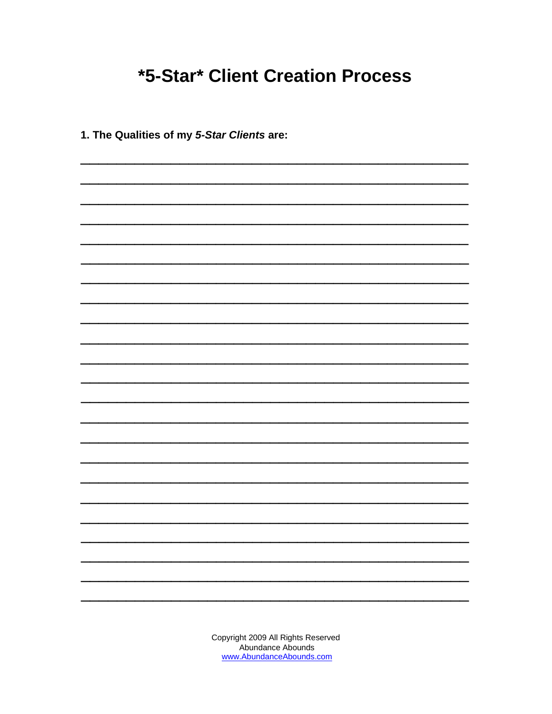## **\*5-Star\* Client Creation Process**

1. The Qualities of my 5-Star Clients are: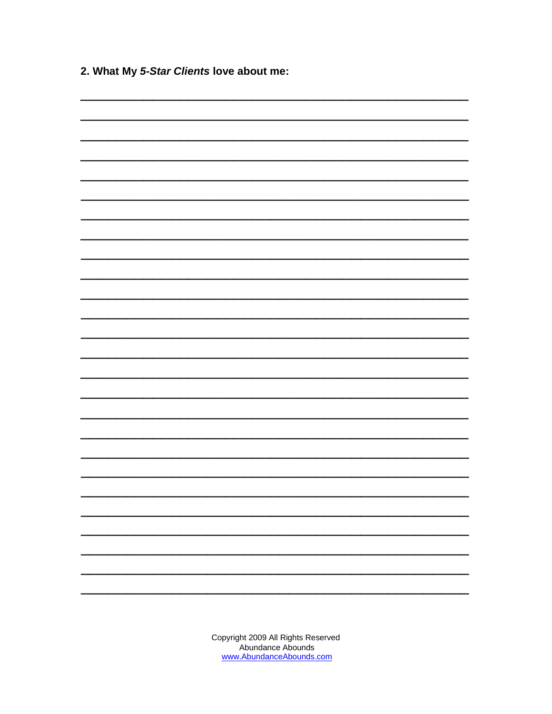2. What My 5-Star Clients love about me:

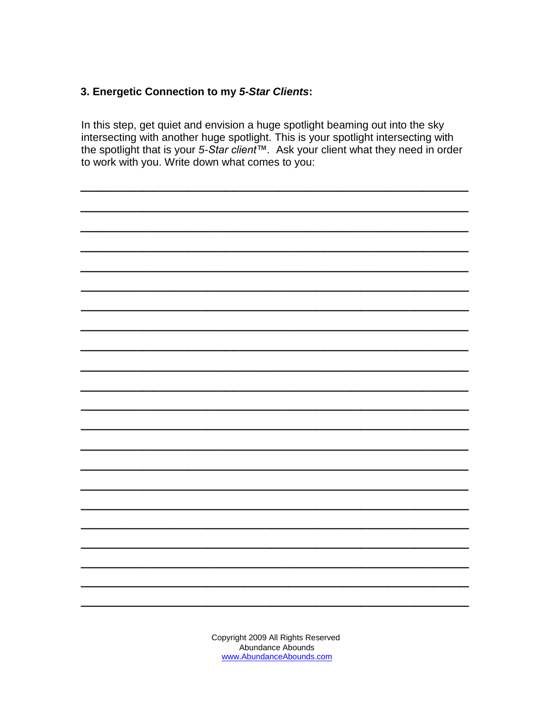## 3. Energetic Connection to my 5-Star Clients:

In this step, get quiet and envision a huge spotlight beaming out into the sky intersecting with another huge spotlight. This is your spotlight intersecting with the spotlight that is your 5-Star client™. Ask your client what they need in order to work with you. Write down what comes to you:

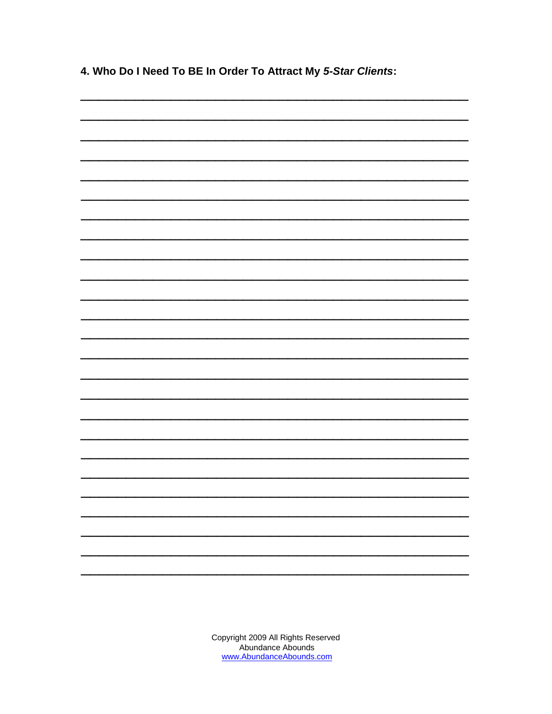4. Who Do I Need To BE In Order To Attract My 5-Star Clients: